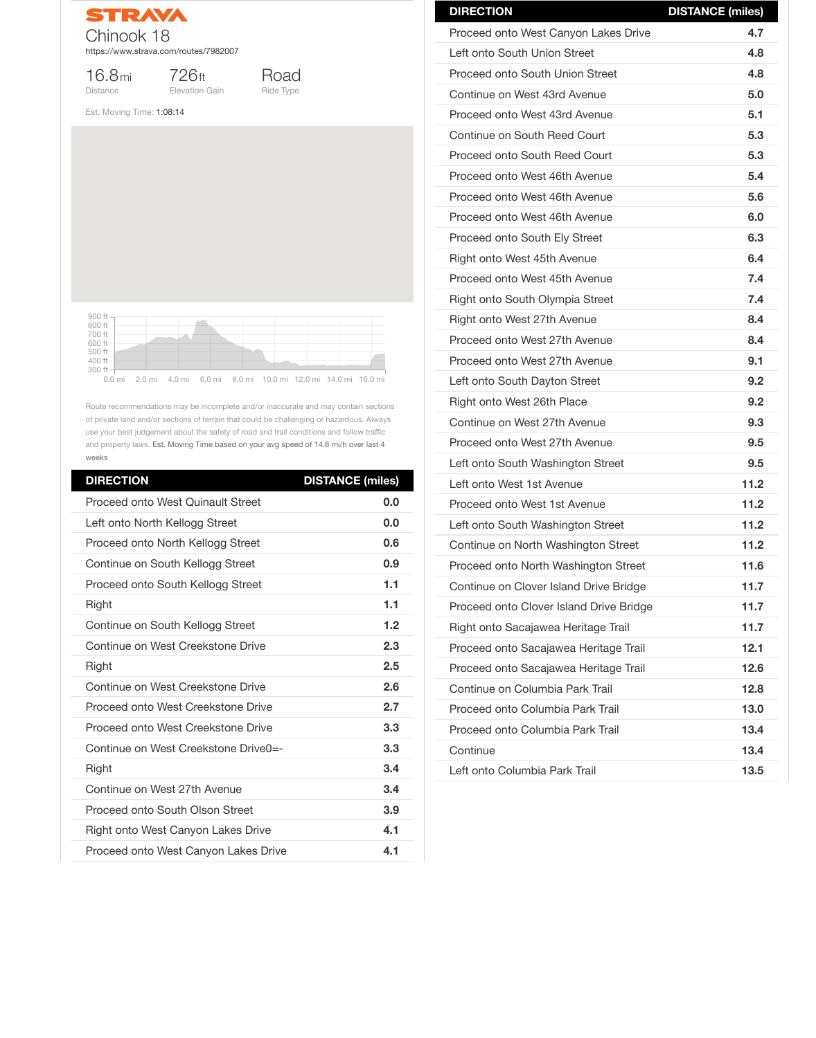

16.8mi Distance

726ft

Elevation Gain

Road Ride Type

Est. Moving Time: 1:08:14

Route recommendations may be incomplete and/or inaccurate and may contain sections of private land and/or sections of terrain that could be challenging or hazardous. Always use your best judgement about the safety of road and trail conditions and follow traffic and property laws. Est. Moving Time based on your avg speed of 14.8 mi/h over last 4 weeks

| <b>DIRECTION</b>                          | <b>DISTANCE (miles)</b> |
|-------------------------------------------|-------------------------|
| <b>Proceed onto West Quinault Street</b>  | 0.0                     |
| Left onto North Kellogg Street            | 0.0                     |
| Proceed onto North Kellogg Street         | 0.6                     |
| Continue on South Kellogg Street          | 0.9                     |
| Proceed onto South Kellogg Street         | 1.1                     |
| Right                                     | 1.1                     |
| Continue on South Kellogg Street          | 1.2                     |
| Continue on West Creekstone Drive         | 2.3                     |
| <b>Right</b>                              | 2.5                     |
| Continue on West Creekstone Drive         | 2.6                     |
| Proceed onto West Creekstone Drive        | 2.7                     |
| <b>Proceed onto West Creekstone Drive</b> | 3.3                     |
| Continue on West Creekstone Drive0=-      | 3.3                     |
| <b>Right</b>                              | 3.4                     |
| Continue on West 27th Avenue              | 3.4                     |
| <b>Proceed onto South Olson Street</b>    | 3.9                     |
| <b>Right onto West Canyon Lakes Drive</b> | 4.1                     |
| Proceed onto West Canyon Lakes Drive      | 4.1                     |



| <b>DIRECTION</b>                        | <b>DISTANCE (miles)</b> |
|-----------------------------------------|-------------------------|
| Proceed onto West Canyon Lakes Drive    | 4.7                     |
| Left onto South Union Street            | 4.8                     |
| <b>Proceed onto South Union Street</b>  | 4.8                     |
| Continue on West 43rd Avenue            | 5.0                     |
| Proceed onto West 43rd Avenue           | 5.1                     |
| Continue on South Reed Court            | 5.3                     |
| <b>Proceed onto South Reed Court</b>    | 5.3                     |
| Proceed onto West 46th Avenue           | 5.4                     |
| Proceed onto West 46th Avenue           | 5.6                     |
| Proceed onto West 46th Avenue           | 6.0                     |
| <b>Proceed onto South Ely Street</b>    | 6.3                     |
| <b>Right onto West 45th Avenue</b>      | 6.4                     |
| Proceed onto West 45th Avenue           | 7.4                     |
| <b>Right onto South Olympia Street</b>  | 7.4                     |
| Right onto West 27th Avenue             | 8.4                     |
| Proceed onto West 27th Avenue           | 8.4                     |
| Proceed onto West 27th Avenue           | 9.1                     |
| Left onto South Dayton Street           | 9.2                     |
| <b>Right onto West 26th Place</b>       | 9.2                     |
| Continue on West 27th Avenue            | 9.3                     |
| Proceed onto West 27th Avenue           | 9.5                     |
| Left onto South Washington Street       | 9.5                     |
| Left onto West 1st Avenue               | 11.2                    |
| Proceed onto West 1st Avenue            | 11.2                    |
| Left onto South Washington Street       | 11.2                    |
| Continue on North Washington Street     | 11.2                    |
| Proceed onto North Washington Street    | 11.6                    |
| Continue on Clover Island Drive Bridge  | 11.7                    |
| Proceed onto Clover Island Drive Bridge | 11.7                    |
| Right onto Sacajawea Heritage Trail     | 11.7                    |

| Proceed onto Sacajawea Heritage Trail | 12.1 |
|---------------------------------------|------|
| Proceed onto Sacajawea Heritage Trail | 12.6 |
| Continue on Columbia Park Trail       | 12.8 |
| Proceed onto Columbia Park Trail      | 13.0 |
| Proceed onto Columbia Park Trail      | 13.4 |
| Continue                              | 13.4 |
| Left onto Columbia Park Trail         | 13.5 |